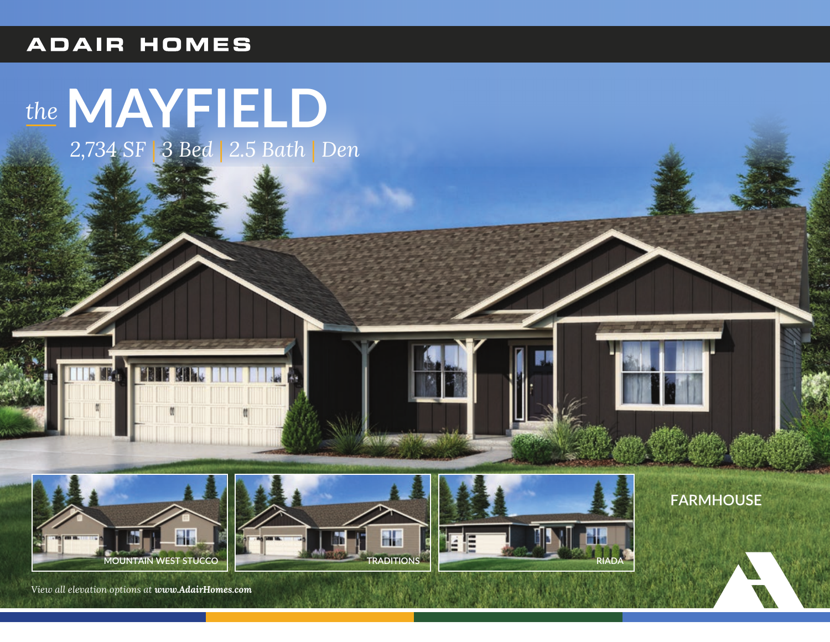#### **ADAIR HOMES**

# *the***MAYFIELD**

*2,734 SF* | *3 Bed* | *2.5 Bath* | *Den*







**FARMHOUSE**

*View all elevation options at www.AdairHomes.com*